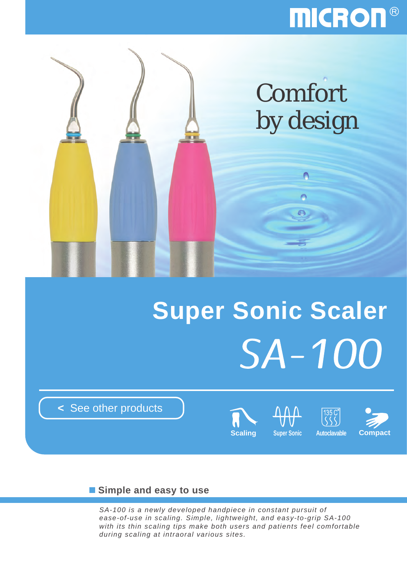# **MICRON®**



# **Super Sonic Scaler SA-100**

**<** [See other products](http://www.micdent.com/new_page/NeoM2/brochure.html)





## **Simple and easy to use**

*SA-100 is a newly developed handpiece in constant pursuit of ease-of-use in scaling. Simple, lightweight, and easy-to-grip SA-100 with its thin scaling tips make both users and patients feel comfortable during scaling at intraoral various sites.*